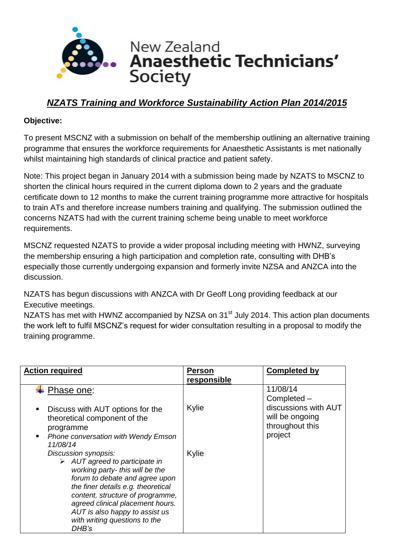

## *NZATS Training and Workforce Sustainability Action Plan 2014/2015*

## **Objective:**

To present MSCNZ with a submission on behalf of the membership outlining an alternative training programme that ensures the workforce requirements for Anaesthetic Assistants is met nationally whilst maintaining high standards of clinical practice and patient safety.

Note: This project began in January 2014 with a submission being made by NZATS to MSCNZ to shorten the clinical hours required in the current diploma down to 2 years and the graduate certificate down to 12 months to make the current training programme more attractive for hospitals to train ATs and therefore increase numbers training and qualifying. The submission outlined the concerns NZATS had with the current training scheme being unable to meet workforce requirements.

MSCNZ requested NZATS to provide a wider proposal including meeting with HWNZ, surveying the membership ensuring a high participation and completion rate, consulting with DHB's especially those currently undergoing expansion and formerly invite NZSA and ANZCA into the discussion.

NZATS has begun discussions with ANZCA with Dr Geoff Long providing feedback at our Executive meetings.

NZATS has met with HWNZ accompanied by NZSA on 31<sup>st</sup> July 2014. This action plan documents the work left to fulfil MSCNZ's request for wider consultation resulting in a proposal to modify the training programme.

| <b>Action required</b>                                                                                                                                                                                                                                                                                                               | <b>Person</b><br>responsible | <b>Completed by</b>                                                   |
|--------------------------------------------------------------------------------------------------------------------------------------------------------------------------------------------------------------------------------------------------------------------------------------------------------------------------------------|------------------------------|-----------------------------------------------------------------------|
| Phase one:                                                                                                                                                                                                                                                                                                                           |                              | 11/08/14<br>Completed -                                               |
| Discuss with AUT options for the<br>п<br>theoretical component of the<br>programme<br><b>Phone conversation with Wendy Emson</b><br>$\blacksquare$<br>11/08/14                                                                                                                                                                       | Kylie                        | discussions with AUT<br>will be ongoing<br>throughout this<br>project |
| Discussion synopsis:<br>$\triangleright$ AUT agreed to participate in<br>working party- this will be the<br>forum to debate and agree upon<br>the finer details e.g. theoretical<br>content, structure of programme,<br>agreed clinical placement hours.<br>AUT is also happy to assist us<br>with writing questions to the<br>DHB's | Kylie                        |                                                                       |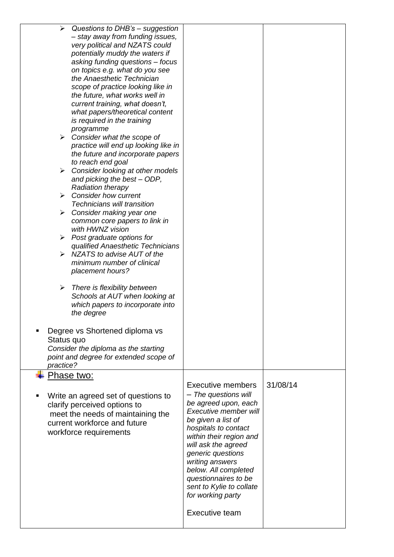| $\blacktriangleright$ | Questions to DHB's - suggestion            |                          |          |
|-----------------------|--------------------------------------------|--------------------------|----------|
|                       | - stay away from funding issues,           |                          |          |
|                       | very political and NZATS could             |                          |          |
|                       | potentially muddy the waters if            |                          |          |
|                       | asking funding questions - focus           |                          |          |
|                       | on topics e.g. what do you see             |                          |          |
|                       | the Anaesthetic Technician                 |                          |          |
|                       | scope of practice looking like in          |                          |          |
|                       | the future, what works well in             |                          |          |
|                       | current training, what doesn't,            |                          |          |
|                       | what papers/theoretical content            |                          |          |
|                       | is required in the training                |                          |          |
|                       | programme                                  |                          |          |
| ≻                     | Consider what the scope of                 |                          |          |
|                       | practice will end up looking like in       |                          |          |
|                       | the future and incorporate papers          |                          |          |
|                       | to reach end goal                          |                          |          |
| ➤                     | Consider looking at other models           |                          |          |
|                       | and picking the best - ODP,                |                          |          |
|                       | <b>Radiation therapy</b>                   |                          |          |
| $\blacktriangleright$ | <b>Consider how current</b>                |                          |          |
|                       | <b>Technicians will transition</b>         |                          |          |
| ➤                     | Consider making year one                   |                          |          |
|                       | common core papers to link in              |                          |          |
|                       | with HWNZ vision                           |                          |          |
|                       | $\triangleright$ Post graduate options for |                          |          |
|                       | qualified Anaesthetic Technicians          |                          |          |
| ≻                     | NZATS to advise AUT of the                 |                          |          |
|                       | minimum number of clinical                 |                          |          |
|                       | placement hours?                           |                          |          |
|                       |                                            |                          |          |
| ➤                     | There is flexibility between               |                          |          |
|                       | Schools at AUT when looking at             |                          |          |
|                       | which papers to incorporate into           |                          |          |
|                       | the degree                                 |                          |          |
|                       |                                            |                          |          |
|                       |                                            |                          |          |
|                       | Degree vs Shortened diploma vs             |                          |          |
| Status quo            |                                            |                          |          |
|                       | Consider the diploma as the starting       |                          |          |
|                       | point and degree for extended scope of     |                          |          |
| practice?             |                                            |                          |          |
|                       | Phase two:                                 |                          |          |
|                       |                                            | <b>Executive members</b> | 31/08/14 |
|                       | Write an agreed set of questions to        | - The questions will     |          |
|                       | clarify perceived options to               | be agreed upon, each     |          |
|                       | meet the needs of maintaining the          | Executive member will    |          |
|                       | current workforce and future               | be given a list of       |          |
|                       |                                            | hospitals to contact     |          |
|                       | workforce requirements                     | within their region and  |          |
|                       |                                            | will ask the agreed      |          |
|                       |                                            | generic questions        |          |
|                       |                                            | writing answers          |          |
|                       |                                            | below. All completed     |          |
|                       |                                            | questionnaires to be     |          |
|                       |                                            | sent to Kylie to collate |          |
|                       |                                            | for working party        |          |
|                       |                                            |                          |          |
|                       |                                            | <b>Executive team</b>    |          |
|                       |                                            |                          |          |
|                       |                                            |                          |          |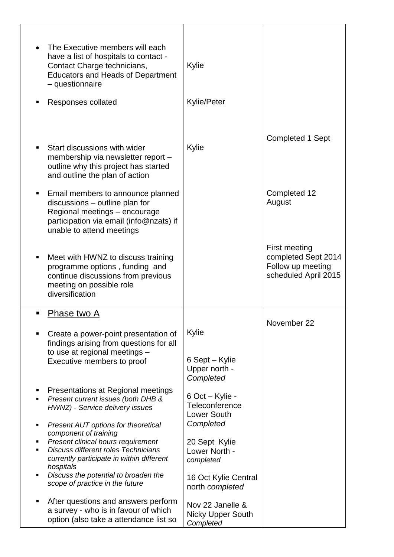|   | The Executive members will each<br>have a list of hospitals to contact -<br>Contact Charge technicians,<br><b>Educators and Heads of Department</b><br>- questionnaire       | Kylie                                                          |                                                                                   |
|---|------------------------------------------------------------------------------------------------------------------------------------------------------------------------------|----------------------------------------------------------------|-----------------------------------------------------------------------------------|
|   | Responses collated                                                                                                                                                           | <b>Kylie/Peter</b>                                             |                                                                                   |
|   |                                                                                                                                                                              |                                                                | Completed 1 Sept                                                                  |
|   | Start discussions with wider<br>membership via newsletter report -<br>outline why this project has started<br>and outline the plan of action                                 | Kylie                                                          |                                                                                   |
|   | Email members to announce planned<br>discussions - outline plan for<br>Regional meetings - encourage<br>participation via email (info@nzats) if<br>unable to attend meetings |                                                                | Completed 12<br>August                                                            |
|   | Meet with HWNZ to discuss training<br>programme options, funding and<br>continue discussions from previous<br>meeting on possible role<br>diversification                    |                                                                | First meeting<br>completed Sept 2014<br>Follow up meeting<br>scheduled April 2015 |
|   | Phase two A                                                                                                                                                                  |                                                                | November 22                                                                       |
|   | Create a power-point presentation of<br>findings arising from questions for all                                                                                              | Kylie                                                          |                                                                                   |
|   | to use at regional meetings -<br>Executive members to proof                                                                                                                  | 6 Sept – Kylie<br>Upper north -<br>Completed                   |                                                                                   |
| п | Presentations at Regional meetings<br>Present current issues (both DHB &<br>HWNZ) - Service delivery issues                                                                  | 6 Oct - Kylie -<br><b>Teleconference</b><br><b>Lower South</b> |                                                                                   |
|   | Present AUT options for theoretical<br>component of training                                                                                                                 | Completed                                                      |                                                                                   |
|   | Present clinical hours requirement<br><b>Discuss different roles Technicians</b><br>currently participate in within different                                                | 20 Sept Kylie<br>Lower North -<br>completed                    |                                                                                   |
| ٠ | hospitals<br>Discuss the potential to broaden the<br>scope of practice in the future                                                                                         | 16 Oct Kylie Central<br>north completed                        |                                                                                   |
| п | After questions and answers perform<br>a survey - who is in favour of which<br>option (also take a attendance list so                                                        | Nov 22 Janelle &<br><b>Nicky Upper South</b><br>Completed      |                                                                                   |